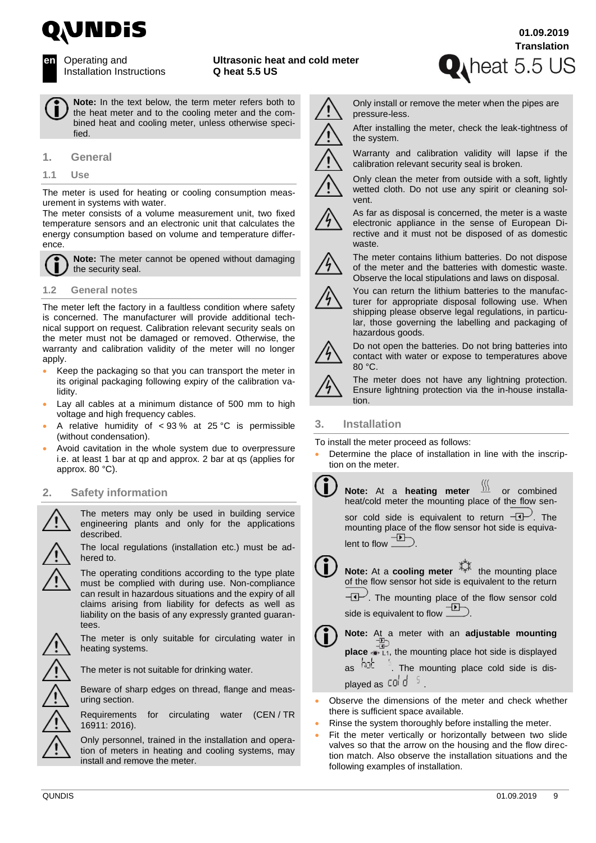



**en** Operating and Installation Instructions **Ultrasonic heat and cold meter Q heat 5.5 US**



**Note:** In the text below, the term meter refers both to the heat meter and to the cooling meter and the combined heat and cooling meter, unless otherwise specified.

#### **1. General**

**1.1 Use**

The meter is used for heating or cooling consumption measurement in systems with water.

The meter consists of a volume measurement unit, two fixed temperature sensors and an electronic unit that calculates the energy consumption based on volume and temperature difference.



**Note:** The meter cannot be opened without damaging the security seal.

#### **1.2 General notes**

The meter left the factory in a faultless condition where safety is concerned. The manufacturer will provide additional technical support on request. Calibration relevant security seals on the meter must not be damaged or removed. Otherwise, the warranty and calibration validity of the meter will no longer apply.

- Keep the packaging so that you can transport the meter in its original packaging following expiry of the calibration validity.
- Lay all cables at a minimum distance of 500 mm to high voltage and high frequency cables.
- A relative humidity of  $< 93 \%$  at 25 °C is permissible (without condensation).
- Avoid cavitation in the whole system due to overpressure i.e. at least 1 bar at qp and approx. 2 bar at qs (applies for approx. 80 °C).

# **2. Safety information**

The meters may only be used in building service engineering plants and only for the applications described.

The local regulations (installation etc.) must be adhered to.



The meter is only suitable for circulating water in heating systems.

The meter is not suitable for drinking water.

Beware of sharp edges on thread, flange and measuring section.

Requirements for circulating water (CEN / TR 16911: 2016).

Only personnel, trained in the installation and operation of meters in heating and cooling systems, may install and remove the meter.

Only install or remove the meter when the pipes are pressure-less.

After installing the meter, check the leak-tightness of the system.



Warranty and calibration validity will lapse if the calibration relevant security seal is broken.

Only clean the meter from outside with a soft, lightly wetted cloth. Do not use any spirit or cleaning solvent.

As far as disposal is concerned, the meter is a waste electronic appliance in the sense of European Directive and it must not be disposed of as domestic waste.



The meter contains lithium batteries. Do not dispose of the meter and the batteries with domestic waste. Observe the local stipulations and laws on disposal.



You can return the lithium batteries to the manufacturer for appropriate disposal following use. When shipping please observe legal regulations, in particular, those governing the labelling and packaging of hazardous goods.



Do not open the batteries. Do not bring batteries into contact with water or expose to temperatures above 80 °C.

The meter does not have any lightning protection. Ensure lightning protection via the in-house installation.

## **3. Installation**

To install the meter proceed as follows:

- Determine the place of installation in line with the inscription on the meter.
	- **Note:** At a **heating meter**  $\frac{1}{2}$  or combined Ť. heat/cold meter the mounting place of the flow sensor cold side is equivalent to return  $-\mathbb{I}$ . The mounting place of the flow sensor hot side is equivalent to flow  $\underline{\phantom{A}}$ **Note:** At a **cooling meter**  $\frac{1}{2}$  the mounting place of the flow sensor hot side is equivalent to the return  $-\mathbb{C}$ . The mounting place of the flow sensor cold side is equivalent to flow **D**

| $\Box$ Note: At a meter with an adjustable mounting                              |  |  |  |  |
|----------------------------------------------------------------------------------|--|--|--|--|
| <b>place</b> $\bullet$ L <sub>1</sub> , the mounting place hot side is displayed |  |  |  |  |
| as $\frac{h_0}{c}$ . The mounting place cold side is dis-                        |  |  |  |  |
| played as cold 5                                                                 |  |  |  |  |

- Observe the dimensions of the meter and check whether there is sufficient space available.
- Rinse the system thoroughly before installing the meter.
- Fit the meter vertically or horizontally between two slide valves so that the arrow on the housing and the flow direction match. Also observe the installation situations and the following examples of installation.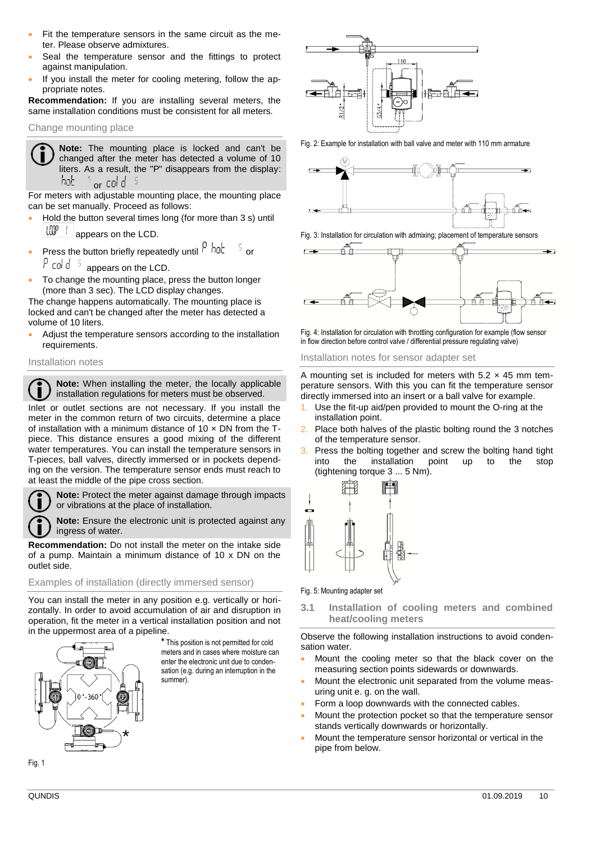- Fit the temperature sensors in the same circuit as the meter. Please observe admixtures.
- Seal the temperature sensor and the fittings to protect against manipulation.
- If you install the meter for cooling metering, follow the appropriate notes.

**Recommendation:** If you are installing several meters, the same installation conditions must be consistent for all meters.

## Change mounting place

**Note:** The mounting place is locked and can't be changed after the meter has detected a volume of 10 liters. As a result, the "P" disappears from the display: or  $col$  d  $5$ hob

For meters with adjustable mounting place, the mounting place can be set manually. Proceed as follows:

- Hold the button several times long (for more than 3 s) until  $\lfloor\frac{1}{2}\rfloor$  appears on the LCD.
- Press the button briefly repeatedly until  $\frac{\rho}{\rho}$  hat  $\frac{1}{\rho}$  or P cold 5 appears on the LCD.
- To change the mounting place, press the button longer (more than 3 sec). The LCD display changes.

The change happens automatically. The mounting place is locked and can't be changed after the meter has detected a volume of 10 liters.

• Adjust the temperature sensors according to the installation requirements.

#### Installation notes

**Note:** When installing the meter, the locally applicable . I installation regulations for meters must be observed.

Inlet or outlet sections are not necessary. If you install the meter in the common return of two circuits, determine a place of installation with a minimum distance of 10  $\times$  DN from the Tpiece. This distance ensures a good mixing of the different water temperatures. You can install the temperature sensors in T-pieces, ball valves, directly immersed or in pockets depending on the version. The temperature sensor ends must reach to at least the middle of the pipe cross section.

**Note:** Protect the meter against damage through impacts or vibrations at the place of installation.

**Note:** Ensure the electronic unit is protected against any ingress of water.

**Recommendation:** Do not install the meter on the intake side of a pump. Maintain a minimum distance of 10 x DN on the outlet side.

## Examples of installation (directly immersed sensor)

You can install the meter in any position e.g. vertically or horizontally. In order to avoid accumulation of air and disruption in operation, fit the meter in a vertical installation position and not in the uppermost area of a pipeline.



**\*** This position is not permitted for cold meters and in cases where moisture can enter the electronic unit due to condensation (e.g. during an interruption in the summer).



Fig. 2: Example for installation with ball valve and meter with 110 mm armature



Fig. 3: Installation for circulation with admixing; placement of temperature sensors



Fig. 4: Installation for circulation with throttling configuration for example (flow sensor in flow direction before control valve / differential pressure regulating valve)

Installation notes for sensor adapter set

A mounting set is included for meters with  $5.2 \times 45$  mm temperature sensors. With this you can fit the temperature sensor directly immersed into an insert or a ball valve for example.

- Use the fit-up aid/pen provided to mount the O-ring at the installation point.
- Place both halves of the plastic bolting round the 3 notches of the temperature sensor.
- 3. Press the bolting together and screw the bolting hand tight into the installation point up to the stop (tightening torque 3 ... 5 Nm).



Fig. 5: Mounting adapter set

**3.1 Installation of cooling meters and combined heat/cooling meters**

Observe the following installation instructions to avoid condensation water.

- Mount the cooling meter so that the black cover on the measuring section points sidewards or downwards.
- Mount the electronic unit separated from the volume measuring unit e. g. on the wall.
- Form a loop downwards with the connected cables.
- Mount the protection pocket so that the temperature sensor stands vertically downwards or horizontally.
- Mount the temperature sensor horizontal or vertical in the pipe from below.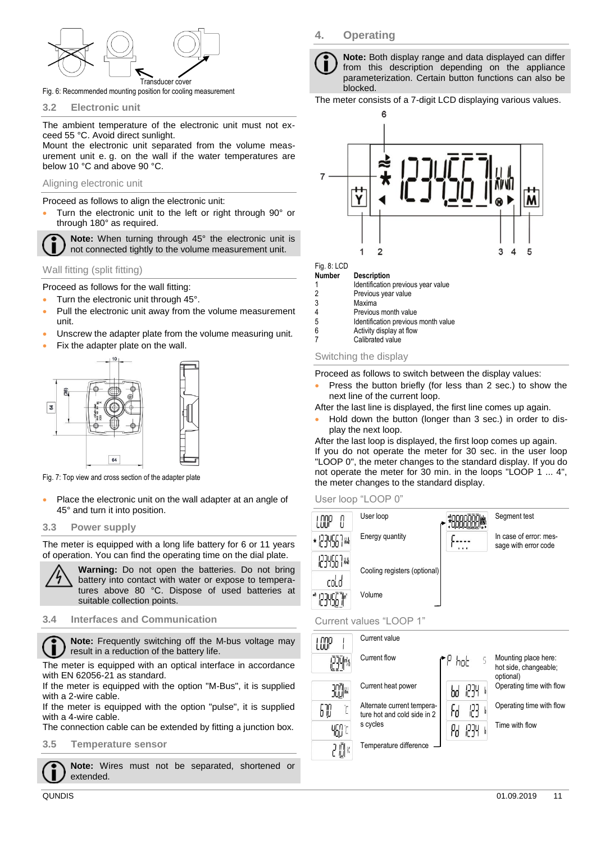

Fig. 6: Recommended mounting position for cooling measurement

#### **3.2 Electronic unit**

The ambient temperature of the electronic unit must not exceed 55 °C. Avoid direct sunlight.

Mount the electronic unit separated from the volume measurement unit e. g. on the wall if the water temperatures are below 10 °C and above 90 °C.

#### Aligning electronic unit

Proceed as follows to align the electronic unit:

• Turn the electronic unit to the left or right through 90° or through 180° as required.

**Note:** When turning through 45° the electronic unit is not connected tightly to the volume measurement unit.

Wall fitting (split fitting)

Proceed as follows for the wall fitting:

- Turn the electronic unit through 45°.
- Pull the electronic unit away from the volume measurement unit.
- Unscrew the adapter plate from the volume measuring unit.
- Fix the adapter plate on the wall.



Fig. 7: Top view and cross section of the adapter plate

Place the electronic unit on the wall adapter at an angle of 45° and turn it into position.

#### **3.3 Power supply**

The meter is equipped with a long life battery for 6 or 11 years of operation. You can find the operating time on the dial plate.



**Warning:** Do not open the batteries. Do not bring battery into contact with water or expose to temperatures above 80 °C. Dispose of used batteries at suitable collection points.

#### **3.4 Interfaces and Communication**

**Note:** Frequently switching off the M-bus voltage may result in a reduction of the battery life.

The meter is equipped with an optical interface in accordance with EN 62056-21 as standard.

If the meter is equipped with the option "M-Bus", it is supplied with a 2-wire cable.

If the meter is equipped with the option "pulse", it is supplied with a 4-wire cable.

The connection cable can be extended by fitting a junction box.

**3.5 Temperature sensor**

**Note:** Wires must not be separated, shortened or extended.

## **4. Operating**



**Note:** Both display range and data displayed can differ from this description depending on the appliance parameterization. Certain button functions can also be blocked.

The meter consists of a 7-digit LCD displaying various values.



# Fig. 8: LCD<br>**Number**

**Description** 

1 Identification previous year value<br>2 Previous year value 2 Previous year value

- 3 Maxima<br>4 Previou
- 4 Previous month value<br>5 **Identification previous** Identification previous month value
- 6 Activity display at flow
- Calibrated value

#### Switching the display

Proceed as follows to switch between the display values:

Press the button briefly (for less than 2 sec.) to show the next line of the current loop.

After the last line is displayed, the first line comes up again.

• Hold down the button (longer than 3 sec.) in order to display the next loop.

After the last loop is displayed, the first loop comes up again. If you do not operate the meter for 30 sec. in the user loop "LOOP 0", the meter changes to the standard display. If you do not operate the meter for 30 min. in the loops "LOOP 1 ... 4", the meter changes to the standard display.





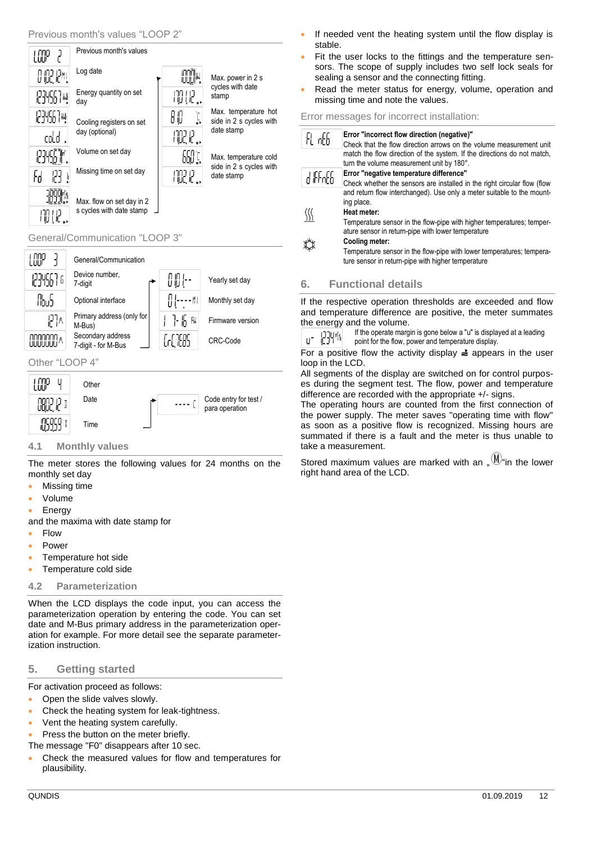

#### General/Communication "LOOP 3"



## Other "LOOP 4"



## **4.1 Monthly values**

The meter stores the following values for 24 months on the monthly set day

- Missing time
- Volume
- **Energy**

and the maxima with date stamp for

- Flow
- Power
- Temperature hot side
- Temperature cold side

## **4.2 Parameterization**

When the LCD displays the code input, you can access the parameterization operation by entering the code. You can set date and M-Bus primary address in the parameterization operation for example. For more detail see the separate parameterization instruction.

# **5. Getting started**

For activation proceed as follows:

- Open the slide valves slowly.
- Check the heating system for leak-tightness.
- Vent the heating system carefully.
- Press the button on the meter briefly.
- The message "F0" disappears after 10 sec.
- Check the measured values for flow and temperatures for plausibility.
- If needed vent the heating system until the flow display is stable.
- Fit the user locks to the fittings and the temperature sensors. The scope of supply includes two self lock seals for sealing a sensor and the connecting fitting.
- Read the meter status for energy, volume, operation and missing time and note the values.

#### Error messages for incorrect installation:

| FL offi   | Error "incorrect flow direction (negative)"<br>Check that the flow direction arrows on the volume measurement unit          |
|-----------|-----------------------------------------------------------------------------------------------------------------------------|
|           | match the flow direction of the system. If the directions do not match,<br>turn the volume measurement unit by 180°.        |
| 4 liffofb | Error "negative temperature difference"                                                                                     |
|           | Check whether the sensors are installed in the right circular flow (flow                                                    |
|           | and return flow interchanged). Use only a meter suitable to the mount-<br>ing place.<br>Heat meter:                         |
|           | Temperature sensor in the flow-pipe with higher temperatures; temper-<br>ature sensor in return-pipe with lower temperature |
|           | Cooling meter:                                                                                                              |
|           | Temperature sensor in the flow-pipe with lower temperatures; tempera-<br>ture sensor in return-pipe with higher temperature |

# **6. Functional details**

If the respective operation thresholds are exceeded and flow and temperature difference are positive, the meter summates the energy and the volume.

If the operate margin is gone below a "u" is displayed at a leading u- 1234m point for the flow, power and temperature display.

For a positive flow the activity display  $\triangleq$  appears in the user loop in the LCD.

All segments of the display are switched on for control purposes during the segment test. The flow, power and temperature difference are recorded with the appropriate +/- signs.

The operating hours are counted from the first connection of the power supply. The meter saves "operating time with flow" as soon as a positive flow is recognized. Missing hours are summated if there is a fault and the meter is thus unable to take a measurement.

Stored maximum values are marked with an  $\mathcal{M}^{\mathcal{M}}$  in the lower right hand area of the LCD.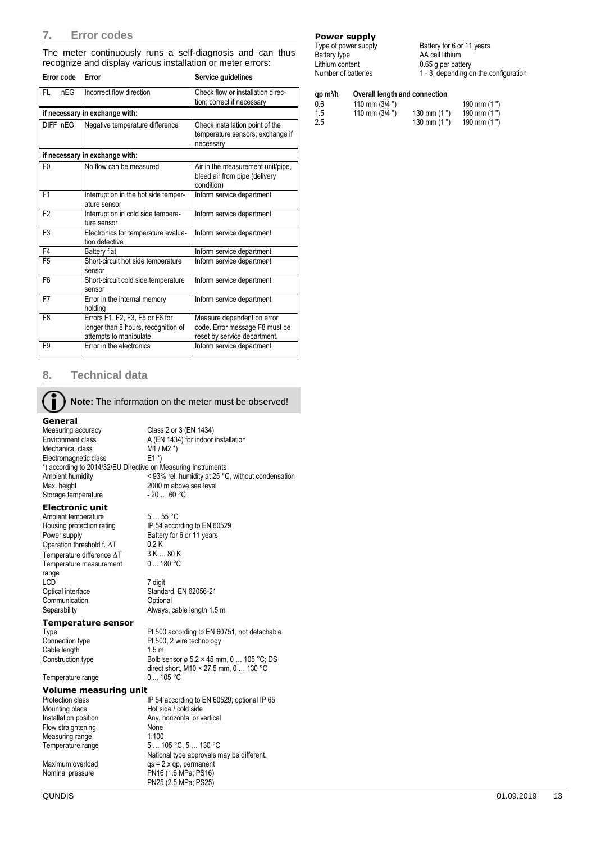#### **7. Error codes**

The meter continuously runs a self-diagnosis and can thus recognize and display various installation or meter errors:

| Error code       | Error                                                 | Service guidelines                                                               |  |  |  |
|------------------|-------------------------------------------------------|----------------------------------------------------------------------------------|--|--|--|
| <b>FL</b><br>nEG | Incorrect flow direction                              | Check flow or installation direc-                                                |  |  |  |
|                  |                                                       | tion; correct if necessary                                                       |  |  |  |
|                  | if necessary in exchange with:                        |                                                                                  |  |  |  |
| DIFF nEG         | Negative temperature difference                       | Check installation point of the                                                  |  |  |  |
|                  |                                                       | temperature sensors; exchange if<br>necessary                                    |  |  |  |
|                  |                                                       |                                                                                  |  |  |  |
|                  | if necessary in exchange with:                        |                                                                                  |  |  |  |
| F <sub>0</sub>   | No flow can be measured                               | Air in the measurement unit/pipe,<br>bleed air from pipe (delivery<br>condition) |  |  |  |
| F <sub>1</sub>   | Interruption in the hot side temper-<br>ature sensor  | Inform service department                                                        |  |  |  |
| F <sub>2</sub>   | Interruption in cold side tempera-<br>ture sensor     | Inform service department                                                        |  |  |  |
| F <sub>3</sub>   | Electronics for temperature evalua-<br>tion defective | Inform service department                                                        |  |  |  |
| F4               | Battery flat                                          | Inform service department                                                        |  |  |  |
| F <sub>5</sub>   | Short-circuit hot side temperature<br>sensor          | Inform service department                                                        |  |  |  |
| F <sub>6</sub>   | Short-circuit cold side temperature<br>sensor         | Inform service department                                                        |  |  |  |
| F7               | Error in the internal memory<br>holding               | Inform service department                                                        |  |  |  |
| F8               | Errors F1, F2, F3, F5 or F6 for                       | Measure dependent on error                                                       |  |  |  |
|                  | longer than 8 hours, recognition of                   | code. Error message F8 must be                                                   |  |  |  |
|                  | attempts to manipulate.                               | reset by service department.                                                     |  |  |  |
| F <sub>9</sub>   | Error in the electronics                              | Inform service department                                                        |  |  |  |

#### **8. Technical data**

Ť **Note:** The information on the meter must be observed!

**General**<br>Measuring accuracy Class 2 or 3 (EN 1434) Environment class <br>
M1/M2 \*)<br>
M1/M2 \*) Mechanical class M1 / I<br>Electromagnetic class E1 \*) Electromagnetic class \*) according to 2014/32/EU Directive on Measuring Instruments Ambient humidity  $\leq 93\%$  rel. humidity at 25 °C, without condensation Max. height 2000 m above sea level 2000 m above sea level<br>- 20 ... 60 °C Storage temperature

#### **Electronic unit**

Ambient temperature 5 ... 55 °C<br>
Housing protection rating FIP 54 according to EN 60529 Housing protection rating Power supply Battery for 6 or 11 years<br>Operation threshold f.  $\Delta T$  0.2 K Operation threshold f.  $\Delta T$  0.2 K<br>Temperature difference  $\Delta T$  3 K ... 80 K Temperature difference  $\Delta T$ Temperature measurement range<br>LCD Optical interface Standard, EN 62056-21<br>
Communication Coptional Communication<br>Separability

0 ... 180 °C 7 digit

Always, cable length 1.5 m

# **Temperature sensor**

Cable length 1.5 m

Temperature range

Type **Pt 500 according to EN 60751**, not detachable<br>
Connection type **Pt 500**, 2 wire technology Pt 500, 2 wire technology Construction type Bolb sensor ø 5.2 × 45 mm, 0 ... 105 °C; DS direct short, M10 × 27,5 mm, 0 ... 130 °C<br>0 ... 105 °C

**Volume measuring unit** Protection class IP 54 according to EN 60529; optional IP 65<br>Mounting place Hot side / cold side Mounting place Hot side / cold side<br>Installation position Any, horizontal or v Any, horizontal or vertical<br>None Flow straightening Measuring range 1:100 Temperature range 5 ... 105 °C, 5 ... 130 °C National type approvals may be different. Maximum overload qs = 2 x qp, permanent<br>
Nominal pressure PN16 (1.6 MPa; PS16) PN16 (1.6 MPa; PS16) PN25 (2.5 MPa; PS25)

# **Power supply**<br>Type of power supply

Battery for 6 or 11 years Battery type **AA** cell lithium<br>
Lithium content 0.65 q per batt Lithium content 0.65 g per battery<br>Number of batteries 1 - 3: depending c  $1 - 3$ ; depending on the configuration

| Overall length and connection<br>$qp \, m^3/h$ |                 |               |             |  |  |
|------------------------------------------------|-----------------|---------------|-------------|--|--|
| 0.6                                            | 110 mm $(3/4")$ |               | 190 mm (1") |  |  |
| 1.5                                            | 110 mm $(3/4")$ | 130 mm $(1")$ | 190 mm (1") |  |  |
| 2.5                                            |                 | 130 mm $(1")$ | 190 mm (1") |  |  |